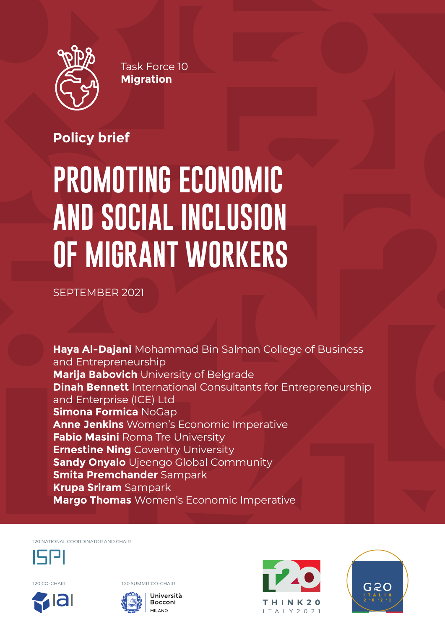

Task Force 10 **Migration**

# **Policy brief**

# **PROMOTING ECONOMIC AND SOCIAL INCLUSION OF MIGRANT WORKERS**

SEPTEMBER 2021

**Haya Al-Dajani** Mohammad Bin Salman College of Business and Entrepreneurship **Marija Babovich** University of Belgrade **Dinah Bennett** International Consultants for Entrepreneurship and Enterprise (ICE) Ltd **Simona Formica** NoGap **Anne Jenkins** Women's Economic Imperative **Fabio Masini** Roma Tre University **Ernestine Ning Coventry University Sandy Onyalo** Ujeengo Global Community **Smita Premchander** Sampark **Krupa Sriram** Sampark **Margo Thomas** Women's Economic Imperative

T20 NATIONAL COORDINATOR AND CHAIR



T20 CO-CHAIR T20 SUMMIT CO-CHAIR







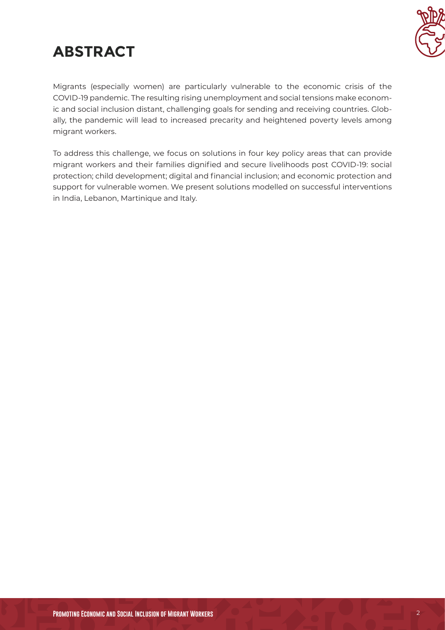# **ABSTRACT**



Migrants (especially women) are particularly vulnerable to the economic crisis of the COVID-19 pandemic. The resulting rising unemployment and social tensions make economic and social inclusion distant, challenging goals for sending and receiving countries. Globally, the pandemic will lead to increased precarity and heightened poverty levels among migrant workers.

To address this challenge, we focus on solutions in four key policy areas that can provide migrant workers and their families dignified and secure livelihoods post COVID-19: social protection; child development; digital and financial inclusion; and economic protection and support for vulnerable women. We present solutions modelled on successful interventions in India, Lebanon, Martinique and Italy.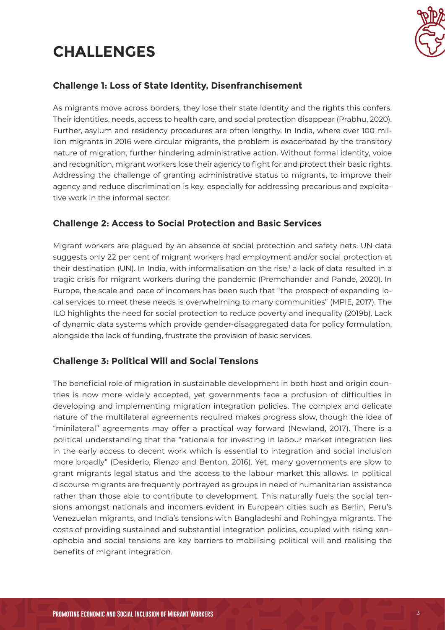# **CHALLENGES**



#### **Challenge 1: Loss of State Identity, Disenfranchisement**

As migrants move across borders, they lose their state identity and the rights this confers. Their identities, needs, access to health care, and social protection disappear (Prabhu, 2020). Further, asylum and residency procedures are often lengthy. In India, where over 100 million migrants in 2016 were circular migrants, the problem is exacerbated by the transitory nature of migration, further hindering administrative action. Without formal identity, voice and recognition, migrant workers lose their agency to fight for and protect their basic rights. Addressing the challenge of granting administrative status to migrants, to improve their agency and reduce discrimination is key, especially for addressing precarious and exploitative work in the informal sector.

#### **Challenge 2: Access to Social Protection and Basic Services**

Migrant workers are plagued by an absence of social protection and safety nets. UN data suggests only 22 per cent of migrant workers had employment and/or social protection at their destination (UN). In India, with informalisation on the rise, $^1$  a lack of data resulted in a tragic crisis for migrant workers during the pandemic (Premchander and Pande, 2020). In Europe, the scale and pace of incomers has been such that "the prospect of expanding local services to meet these needs is overwhelming to many communities" (MPIE, 2017). The ILO highlights the need for social protection to reduce poverty and inequality (2019b). Lack of dynamic data systems which provide gender-disaggregated data for policy formulation, alongside the lack of funding, frustrate the provision of basic services.

#### **Challenge 3: Political Will and Social Tensions**

The beneficial role of migration in sustainable development in both host and origin countries is now more widely accepted, yet governments face a profusion of difficulties in developing and implementing migration integration policies. The complex and delicate nature of the multilateral agreements required makes progress slow, though the idea of "minilateral" agreements may offer a practical way forward (Newland, 2017). There is a political understanding that the "rationale for investing in labour market integration lies in the early access to decent work which is essential to integration and social inclusion more broadly" (Desiderio, Rienzo and Benton, 2016). Yet, many governments are slow to grant migrants legal status and the access to the labour market this allows. In political discourse migrants are frequently portrayed as groups in need of humanitarian assistance rather than those able to contribute to development. This naturally fuels the social tensions amongst nationals and incomers evident in European cities such as Berlin, Peru's Venezuelan migrants, and India's tensions with Bangladeshi and Rohingya migrants. The costs of providing sustained and substantial integration policies, coupled with rising xenophobia and social tensions are key barriers to mobilising political will and realising the benefits of migrant integration.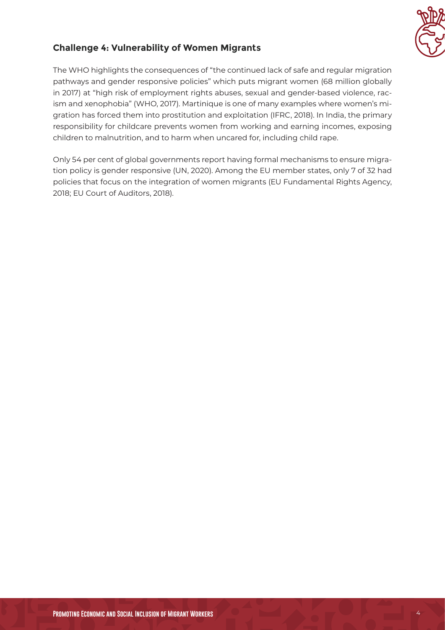

#### **Challenge 4: Vulnerability of Women Migrants**

The WHO highlights the consequences of "the continued lack of safe and regular migration pathways and gender responsive policies" which puts migrant women (68 million globally in 2017) at "high risk of employment rights abuses, sexual and gender-based violence, racism and xenophobia" (WHO, 2017). Martinique is one of many examples where women's migration has forced them into prostitution and exploitation (IFRC, 2018). In India, the primary responsibility for childcare prevents women from working and earning incomes, exposing children to malnutrition, and to harm when uncared for, including child rape.

Only 54 per cent of global governments report having formal mechanisms to ensure migration policy is gender responsive (UN, 2020). Among the EU member states, only 7 of 32 had policies that focus on the integration of women migrants (EU Fundamental Rights Agency, 2018; EU Court of Auditors, 2018).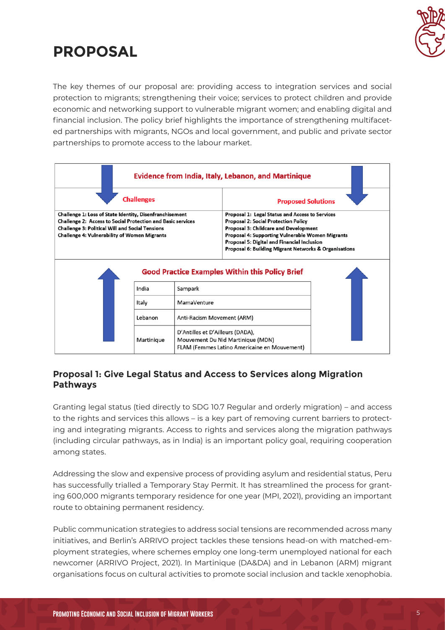

# **PROPOSAL**

The key themes of our proposal are: providing access to integration services and social protection to migrants; strengthening their voice; services to protect children and provide economic and networking support to vulnerable migrant women; and enabling digital and financial inclusion. The policy brief highlights the importance of strengthening multifaceted partnerships with migrants, NGOs and local government, and public and private sector partnerships to promote access to the labour market.

| <b>Evidence from India, Italy, Lebanon, and Martinique</b>                                                                                                                                                                                     |            |                                  |                                                                                                                                                                                                                                                                                                            |
|------------------------------------------------------------------------------------------------------------------------------------------------------------------------------------------------------------------------------------------------|------------|----------------------------------|------------------------------------------------------------------------------------------------------------------------------------------------------------------------------------------------------------------------------------------------------------------------------------------------------------|
| <b>Challenges</b>                                                                                                                                                                                                                              |            |                                  | <b>Proposed Solutions</b>                                                                                                                                                                                                                                                                                  |
| Challenge 1: Loss of State Identity, Disenfranchisement<br><b>Challenge 2: Access to Social Protection and Basic services</b><br><b>Challenge 3: Political Will and Social Tensions</b><br><b>Challenge 4: Vulnerability of Women Migrants</b> |            |                                  | Proposal 1: Legal Status and Access to Services<br><b>Proposal 2: Social Protection Policy</b><br><b>Proposal 3: Childcare and Development</b><br>Proposal 4: Supporting Vulnerable Women Migrants<br>Proposal 5: Digital and Financial Inclusion<br>Proposal 6: Building Migrant Networks & Organisations |
| <b>Good Practice Examples Within this Policy Brief</b>                                                                                                                                                                                         |            |                                  |                                                                                                                                                                                                                                                                                                            |
|                                                                                                                                                                                                                                                | India      | Sampark                          |                                                                                                                                                                                                                                                                                                            |
|                                                                                                                                                                                                                                                | Italy      | MamaVenture                      |                                                                                                                                                                                                                                                                                                            |
|                                                                                                                                                                                                                                                | Lebanon    | Anti-Racism Movement (ARM)       |                                                                                                                                                                                                                                                                                                            |
|                                                                                                                                                                                                                                                | Martinique | D'Antilles et D'Ailleurs (DADA), | Mouvement Du Nid Martinique (MDN)<br>FLAM (Femmes Latino Americaine en Mouvement)                                                                                                                                                                                                                          |

#### **Proposal 1: Give Legal Status and Access to Services along Migration Pathways**

Granting legal status (tied directly to SDG 10.7 Regular and orderly migration) – and access to the rights and services this allows – is a key part of removing current barriers to protecting and integrating migrants. Access to rights and services along the migration pathways (including circular pathways, as in India) is an important policy goal, requiring cooperation among states.

Addressing the slow and expensive process of providing asylum and residential status, Peru has successfully trialled a Temporary Stay Permit. It has streamlined the process for granting 600,000 migrants temporary residence for one year (MPI, 2021), providing an important route to obtaining permanent residency.

Public communication strategies to address social tensions are recommended across many initiatives, and Berlin's ARRIVO project tackles these tensions head-on with matched-employment strategies, where schemes employ one long-term unemployed national for each newcomer (ARRIVO Project, 2021). In Martinique (DA&DA) and in Lebanon (ARM) migrant organisations focus on cultural activities to promote social inclusion and tackle xenophobia.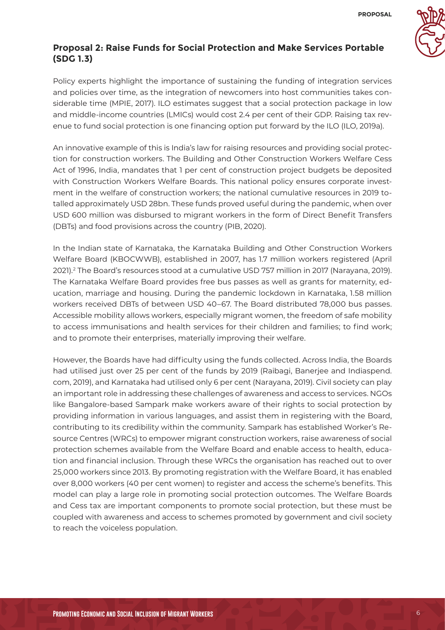

#### **Proposal 2: Raise Funds for Social Protection and Make Services Portable (SDG 1.3)**

Policy experts highlight the importance of sustaining the funding of integration services and policies over time, as the integration of newcomers into host communities takes considerable time (MPIE, 2017). ILO estimates suggest that a social protection package in low and middle-income countries (LMICs) would cost 2.4 per cent of their GDP. Raising tax revenue to fund social protection is one financing option put forward by the ILO (ILO, 2019a).

An innovative example of this is India's law for raising resources and providing social protection for construction workers. The Building and Other Construction Workers Welfare Cess Act of 1996, India, mandates that 1 per cent of construction project budgets be deposited with Construction Workers Welfare Boards. This national policy ensures corporate investment in the welfare of construction workers; the national cumulative resources in 2019 totalled approximately USD 28bn. These funds proved useful during the pandemic, when over USD 600 million was disbursed to migrant workers in the form of Direct Benefit Transfers (DBTs) and food provisions across the country (PIB, 2020).

In the Indian state of Karnataka, the Karnataka Building and Other Construction Workers Welfare Board (KBOCWWB), established in 2007, has 1.7 million workers registered (April 2021).2 The Board's resources stood at a cumulative USD 757 million in 2017 (Narayana, 2019). The Karnataka Welfare Board provides free bus passes as well as grants for maternity, education, marriage and housing. During the pandemic lockdown in Karnataka, 1.58 million workers received DBTs of between USD 40–67. The Board distributed 78,000 bus passes. Accessible mobility allows workers, especially migrant women, the freedom of safe mobility to access immunisations and health services for their children and families; to find work; and to promote their enterprises, materially improving their welfare.

However, the Boards have had difficulty using the funds collected. Across India, the Boards had utilised just over 25 per cent of the funds by 2019 (Raibagi, Banerjee and Indiaspend. com, 2019), and Karnataka had utilised only 6 per cent (Narayana, 2019). Civil society can play an important role in addressing these challenges of awareness and access to services. NGOs like Bangalore-based Sampark make workers aware of their rights to social protection by providing information in various languages, and assist them in registering with the Board, contributing to its credibility within the community. Sampark has established Worker's Resource Centres (WRCs) to empower migrant construction workers, raise awareness of social protection schemes available from the Welfare Board and enable access to health, education and financial inclusion. Through these WRCs the organisation has reached out to over 25,000 workers since 2013. By promoting registration with the Welfare Board, it has enabled over 8,000 workers (40 per cent women) to register and access the scheme's benefits. This model can play a large role in promoting social protection outcomes. The Welfare Boards and Cess tax are important components to promote social protection, but these must be coupled with awareness and access to schemes promoted by government and civil society to reach the voiceless population.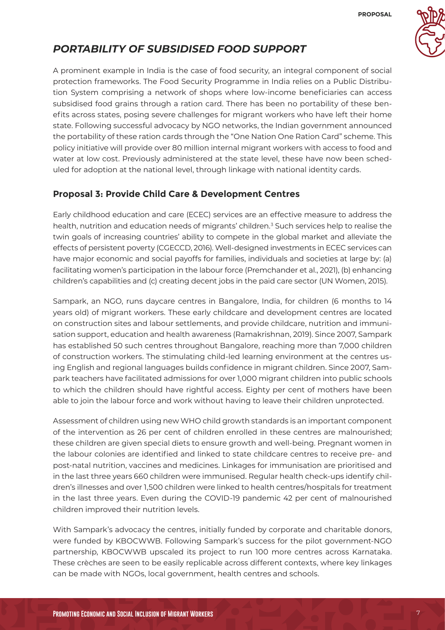

## *PORTABILITY OF SUBSIDISED FOOD SUPPORT*

A prominent example in India is the case of food security, an integral component of social protection frameworks. The Food Security Programme in India relies on a Public Distribution System comprising a network of shops where low-income beneficiaries can access subsidised food grains through a ration card. There has been no portability of these benefits across states, posing severe challenges for migrant workers who have left their home state. Following successful advocacy by NGO networks, the Indian government announced the portability of these ration cards through the "One Nation One Ration Card" scheme. This policy initiative will provide over 80 million internal migrant workers with access to food and water at low cost. Previously administered at the state level, these have now been scheduled for adoption at the national level, through linkage with national identity cards.

### **Proposal 3: Provide Child Care & Development Centres**

Early childhood education and care (ECEC) services are an effective measure to address the health, nutrition and education needs of migrants' children.<sup>3</sup> Such services help to realise the twin goals of increasing countries' ability to compete in the global market and alleviate the effects of persistent poverty (CGECCD, 2016). Well-designed investments in ECEC services can have major economic and social payoffs for families, individuals and societies at large by: (a) facilitating women's participation in the labour force (Premchander et al., 2021), (b) enhancing children's capabilities and (c) creating decent jobs in the paid care sector (UN Women, 2015).

Sampark, an NGO, runs daycare centres in Bangalore, India, for children (6 months to 14 years old) of migrant workers. These early childcare and development centres are located on construction sites and labour settlements, and provide childcare, nutrition and immunisation support, education and health awareness (Ramakrishnan, 2019). Since 2007, Sampark has established 50 such centres throughout Bangalore, reaching more than 7,000 children of construction workers. The stimulating child-led learning environment at the centres using English and regional languages builds confidence in migrant children. Since 2007, Sampark teachers have facilitated admissions for over 1,000 migrant children into public schools to which the children should have rightful access. Eighty per cent of mothers have been able to join the labour force and work without having to leave their children unprotected.

Assessment of children using new WHO child growth standards is an important component of the intervention as 26 per cent of children enrolled in these centres are malnourished; these children are given special diets to ensure growth and well-being. Pregnant women in the labour colonies are identified and linked to state childcare centres to receive pre- and post-natal nutrition, vaccines and medicines. Linkages for immunisation are prioritised and in the last three years 660 children were immunised. Regular health check-ups identify children's illnesses and over 1,500 children were linked to health centres/hospitals for treatment in the last three years. Even during the COVID-19 pandemic 42 per cent of malnourished children improved their nutrition levels.

With Sampark's advocacy the centres, initially funded by corporate and charitable donors, were funded by KBOCWWB. Following Sampark's success for the pilot government-NGO partnership, KBOCWWB upscaled its project to run 100 more centres across Karnataka. These crèches are seen to be easily replicable across different contexts, where key linkages can be made with NGOs, local government, health centres and schools.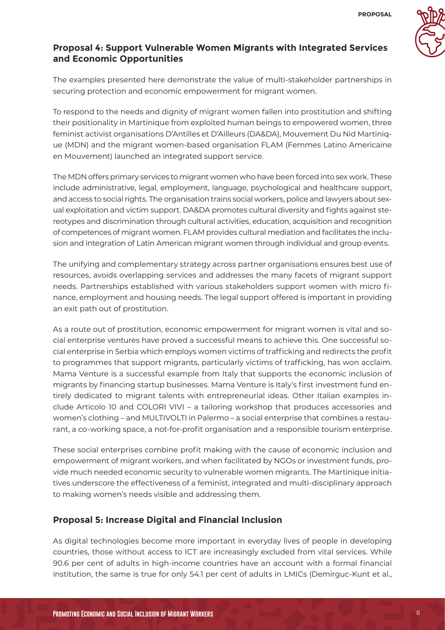

#### **Proposal 4: Support Vulnerable Women Migrants with Integrated Services and Economic Opportunities**

The examples presented here demonstrate the value of multi-stakeholder partnerships in securing protection and economic empowerment for migrant women.

To respond to the needs and dignity of migrant women fallen into prostitution and shifting their positionality in Martinique from exploited human beings to empowered women, three feminist activist organisations D'Antilles et D'Ailleurs (DA&DA), Mouvement Du Nid Martinique (MDN) and the migrant women-based organisation FLAM (Femmes Latino Americaine en Mouvement) launched an integrated support service.

The MDN offers primary services to migrant women who have been forced into sex work. These include administrative, legal, employment, language, psychological and healthcare support, and access to social rights. The organisation trains social workers, police and lawyers about sexual exploitation and victim support. DA&DA promotes cultural diversity and fights against stereotypes and discrimination through cultural activities, education, acquisition and recognition of competences of migrant women. FLAM provides cultural mediation and facilitates the inclusion and integration of Latin American migrant women through individual and group events.

The unifying and complementary strategy across partner organisations ensures best use of resources, avoids overlapping services and addresses the many facets of migrant support needs. Partnerships established with various stakeholders support women with micro finance, employment and housing needs. The legal support offered is important in providing an exit path out of prostitution.

As a route out of prostitution, economic empowerment for migrant women is vital and social enterprise ventures have proved a successful means to achieve this. One successful social enterprise in Serbia which employs women victims of trafficking and redirects the profit to programmes that support migrants, particularly victims of trafficking, has won acclaim. Mama Venture is a successful example from Italy that supports the economic inclusion of migrants by financing startup businesses. Mama Venture is Italy's first investment fund entirely dedicated to migrant talents with entrepreneurial ideas. Other Italian examples include Articolo 10 and COLORI VIVI – a tailoring workshop that produces accessories and women's clothing – and MULTIVOLTI in Palermo – a social enterprise that combines a restaurant, a co-working space, a not-for-profit organisation and a responsible tourism enterprise.

These social enterprises combine profit making with the cause of economic inclusion and empowerment of migrant workers, and when facilitated by NGOs or investment funds, provide much needed economic security to vulnerable women migrants. The Martinique initiatives underscore the effectiveness of a feminist, integrated and multi-disciplinary approach to making women's needs visible and addressing them.

#### **Proposal 5: Increase Digital and Financial Inclusion**

As digital technologies become more important in everyday lives of people in developing countries, those without access to ICT are increasingly excluded from vital services. While 90.6 per cent of adults in high-income countries have an account with a formal financial institution, the same is true for only 54.1 per cent of adults in LMICs (Demirguc-Kunt et al.,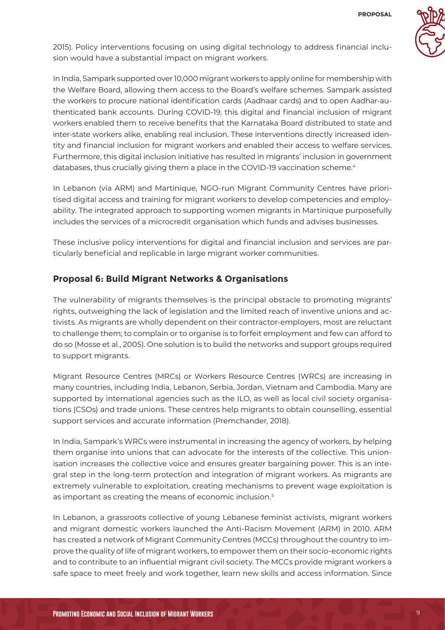

2015). Policy interventions focusing on using digital technology to address financial inclusion would have a substantial impact on migrant workers.

In India, Sampark supported over 10,000 migrant workers to apply online for membership with the Welfare Board, allowing them access to the Board's welfare schemes. Sampark assisted the workers to procure national identification cards (Aadhaar cards) and to open Aadhar-authenticated bank accounts. During COVID-19, this digital and financial inclusion of migrant workers enabled them to receive benefits that the Karnataka Board distributed to state and inter-state workers alike, enabling real inclusion. These interventions directly increased identity and financial inclusion for migrant workers and enabled their access to welfare services. Furthermore, this digital inclusion initiative has resulted in migrants' inclusion in government databases, thus crucially giving them a place in the COVID-19 vaccination scheme.<sup>4</sup>

In Lebanon (via ARM) and Martinique, NGO-run Migrant Community Centres have prioritised digital access and training for migrant workers to develop competencies and employability. The integrated approach to supporting women migrants in Martinique purposefully includes the services of a microcredit organisation which funds and advises businesses.

These inclusive policy interventions for digital and financial inclusion and services are particularly beneficial and replicable in large migrant worker communities.

#### **Proposal 6: Build Migrant Networks & Organisations**

The vulnerability of migrants themselves is the principal obstacle to promoting migrants' rights, outweighing the lack of legislation and the limited reach of inventive unions and activists. As migrants are wholly dependent on their contractor-employers, most are reluctant to challenge them; to complain or to organise is to forfeit employment and few can afford to do so (Mosse et al., 2005). One solution is to build the networks and support groups required to support migrants.

Migrant Resource Centres (MRCs) or Workers Resource Centres (WRCs) are increasing in many countries, including India, Lebanon, Serbia, Jordan, Vietnam and Cambodia. Many are supported by international agencies such as the ILO, as well as local civil society organisations (CSOs) and trade unions. These centres help migrants to obtain counselling, essential support services and accurate information (Premchander, 2018).

In India, Sampark's WRCs were instrumental in increasing the agency of workers, by helping them organise into unions that can advocate for the interests of the collective. This unionisation increases the collective voice and ensures greater bargaining power. This is an integral step in the long-term protection and integration of migrant workers. As migrants are extremely vulnerable to exploitation, creating mechanisms to prevent wage exploitation is as important as creating the means of economic inclusion.5

In Lebanon, a grassroots collective of young Lebanese feminist activists, migrant workers and migrant domestic workers launched the Anti-Racism Movement (ARM) in 2010. ARM has created a network of Migrant Community Centres (MCCs) throughout the country to improve the quality of life of migrant workers, to empower them on their socio-economic rights and to contribute to an influential migrant civil society. The MCCs provide migrant workers a safe space to meet freely and work together, learn new skills and access information. Since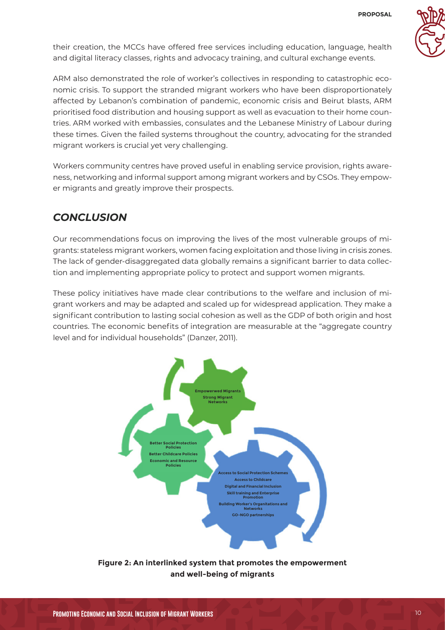

their creation, the MCCs have offered free services including education, language, health and digital literacy classes, rights and advocacy training, and cultural exchange events.

ARM also demonstrated the role of worker's collectives in responding to catastrophic economic crisis. To support the stranded migrant workers who have been disproportionately affected by Lebanon's combination of pandemic, economic crisis and Beirut blasts, ARM prioritised food distribution and housing support as well as evacuation to their home countries. ARM worked with embassies, consulates and the Lebanese Ministry of Labour during these times. Given the failed systems throughout the country, advocating for the stranded migrant workers is crucial yet very challenging.

Workers community centres have proved useful in enabling service provision, rights awareness, networking and informal support among migrant workers and by CSOs. They empower migrants and greatly improve their prospects.

### *CONCLUSION*

Our recommendations focus on improving the lives of the most vulnerable groups of migrants: stateless migrant workers, women facing exploitation and those living in crisis zones. The lack of gender-disaggregated data globally remains a significant barrier to data collection and implementing appropriate policy to protect and support women migrants.

These policy initiatives have made clear contributions to the welfare and inclusion of migrant workers and may be adapted and scaled up for widespread application. They make a significant contribution to lasting social cohesion as well as the GDP of both origin and host countries. The economic benefits of integration are measurable at the "aggregate country level and for individual households" (Danzer, 2011).



**Figure 2: An interlinked system that promotes the empowerment and well-being of migrants**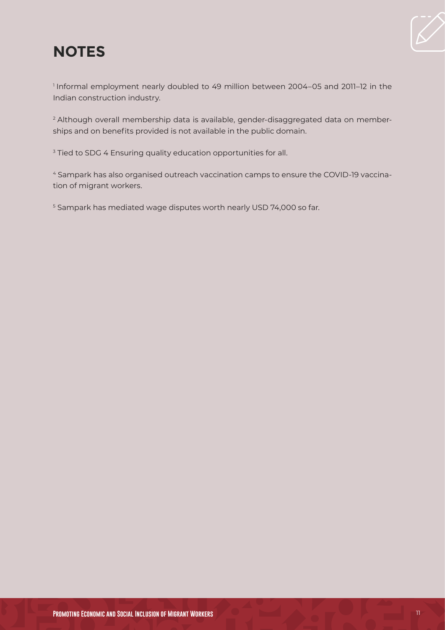# **NOTES**



<sup>1</sup> Informal employment nearly doubled to 49 million between 2004–05 and 2011–12 in the Indian construction industry.

<sup>2</sup> Although overall membership data is available, gender-disaggregated data on memberships and on benefits provided is not available in the public domain.

<sup>3</sup> Tied to SDG 4 Ensuring quality education opportunities for all.

<sup>4</sup> Sampark has also organised outreach vaccination camps to ensure the COVID-19 vaccination of migrant workers.

<sup>5</sup> Sampark has mediated wage disputes worth nearly USD 74,000 so far.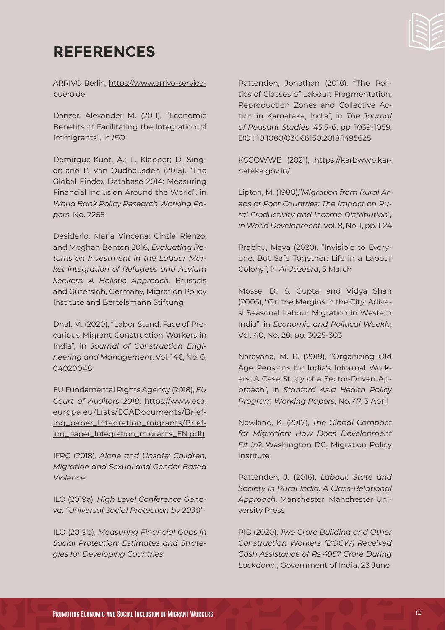# **REFERENCES**

ARRIVO Berlin, [https://www.arrivo-service](https://www.arrivo-servicebuero.de)[buero.de](https://www.arrivo-servicebuero.de)

Danzer, Alexander M. (2011), "Economic Benefits of Facilitating the Integration of Immigrants", in *IFO*

Demirguc-Kunt, A.; L. Klapper; D. Singer; and P. Van Oudheusden (2015), "The Global Findex Database 2014: Measuring Financial Inclusion Around the World", in *World Bank Policy Research Working Papers*, No. 7255

Desiderio, Maria Vincena; Cinzia Rienzo; and Meghan Benton 2016, *Evaluating Returns on Investment in the Labour Market integration of Refugees and Asylum Seekers: A Holistic Approach*, Brussels and Gütersloh, Germany, Migration Policy Institute and Bertelsmann Stiftung

Dhal, M. (2020), "Labor Stand: Face of Precarious Migrant Construction Workers in India", in *Journal of Construction Engineering and Management*, Vol. 146, No. 6, 04020048

EU Fundamental Rights Agency (2018), *EU Court of Auditors 2018*, [https://www.eca.](https://www.eca.europa.eu/Lists/ECADocuments/Briefing_paper_Integration_migrants/EN.pdf)) [europa.eu/Lists/ECADocuments/Brief](https://www.eca.europa.eu/Lists/ECADocuments/Briefing_paper_Integration_migrants/EN.pdf))[ing\\_paper\\_Integration\\_migrants/Brief](https://www.eca.europa.eu/Lists/ECADocuments/Briefing_paper_Integration_migrants/EN.pdf))[ing\\_paper\\_Integration\\_migrants\\_EN.pdf\)](https://www.eca.europa.eu/Lists/ECADocuments/Briefing_paper_Integration_migrants/EN.pdf))

IFRC (2018), *Alone and Unsafe: Children, Migration and Sexual and Gender Based Violence*

ILO (2019a), *High Level Conference Geneva, "Universal Social Protection by 2030"*

ILO (2019b), *Measuring Financial Gaps in Social Protection: Estimates and Strategies for Developing Countries*

Pattenden, Jonathan (2018), "The Politics of Classes of Labour: Fragmentation, Reproduction Zones and Collective Action in Karnataka, India", in *The Journal of Peasant Studies*, 45:5-6, pp. 1039-1059, DOI: 10.1080/03066150.2018.1495625

KSCOWWB (2021), [https://karbwwb.kar](https://karbwwb.karnataka.gov.in/)[nataka.gov.in/](https://karbwwb.karnataka.gov.in/)

Lipton, M. (1980),"*Migration from Rural Areas of Poor Countries: The Impact on Rural Productivity and Income Distribution", inWorld Development*, Vol. 8, No. 1, pp. 1-24

Prabhu, Maya (2020), "Invisible to Everyone, But Safe Together: Life in a Labour Colony", in *Al-Jazeera*, 5 March

Mosse, D.; S. Gupta; and Vidya Shah (2005), "On the Margins in the City: Adivasi Seasonal Labour Migration in Western India", in *Economic and Political Weekly*, Vol. 40, No. 28, pp. 3025-303

Narayana, M. R. (2019), "Organizing Old Age Pensions for India's Informal Workers: A Case Study of a Sector-Driven Approach", in *Stanford Asia Health Policy Program Working Papers*, No. 47, 3 April

Newland, K. (2017), *The Global Compact for Migration: How Does Development Fit In?*, Washington DC, Migration Policy Institute

Pattenden, J. (2016), *Labour, State and Society in Rural India: A Class-Relational Approach*, Manchester, Manchester University Press

PIB (2020), *Two Crore Building and Other Construction Workers (BOCW) Received Cash Assistance of Rs 4957 Crore During Lockdown*, Government of India, 23 June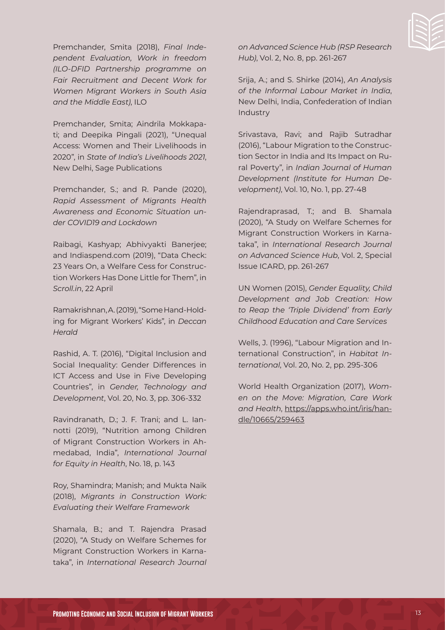

Premchander, Smita (2018), *Final Independent Evaluation, Work in freedom (ILO-DFID Partnership programme on Fair Recruitment and Decent Work for Women Migrant Workers in South Asia and the Middle East)*, ILO

Premchander, Smita; Aindrila Mokkapati; and Deepika Pingali (2021), "Unequal Access: Women and Their Livelihoods in 2020", in *State of India's Livelihoods 2021*, New Delhi, Sage Publications

Premchander, S.; and R. Pande (2020), *Rapid Assessment of Migrants Health Awareness and Economic Situation under COVID19 and Lockdown*

Raibagi, Kashyap; Abhivyakti Banerjee; and Indiaspend.com (2019), "Data Check: 23 Years On, a Welfare Cess for Construction Workers Has Done Little for Them", in *Scroll.in*, 22 April

Ramakrishnan, A. (2019), "Some Hand-Holding for Migrant Workers' Kids", in *Deccan Herald*

Rashid, A. T. (2016), "Digital Inclusion and Social Inequality: Gender Differences in ICT Access and Use in Five Developing Countries", in *Gender, Technology and Development*, Vol. 20, No. 3, pp. 306-332

Ravindranath, D.; J. F. Trani; and L. Iannotti (2019), "Nutrition among Children of Migrant Construction Workers in Ahmedabad, India", *International Journal for Equity in Health*, No. 18, p. 143

Roy, Shamindra; Manish; and Mukta Naik (2018), *Migrants in Construction Work: Evaluating their Welfare Framework*

Shamala, B.; and T. Rajendra Prasad (2020), "A Study on Welfare Schemes for Migrant Construction Workers in Karnataka", in *International Research Journal*  *on Advanced Science Hub (RSP Research Hub)*, Vol. 2, No. 8, pp. 261-267

Srija, A.; and S. Shirke (2014), *An Analysis of the Informal Labour Market in India*, New Delhi, India, Confederation of Indian Industry

Srivastava, Ravi; and Rajib Sutradhar (2016), "Labour Migration to the Construction Sector in India and Its Impact on Rural Poverty", in *Indian Journal of Human Development (Institute for Human Development)*, Vol. 10, No. 1, pp. 27-48

Rajendraprasad, T.; and B. Shamala (2020), "A Study on Welfare Schemes for Migrant Construction Workers in Karnataka", in *International Research Journal on Advanced Science Hub*, Vol. 2, Special Issue ICARD, pp. 261-267

UN Women (2015), *Gender Equality, Child Development and Job Creation: How to Reap the 'Triple Dividend' from Early Childhood Education and Care Services*

Wells, J. (1996), "Labour Migration and International Construction", in *Habitat International*, Vol. 20, No. 2, pp. 295-306

World Health Organization (2017), *Women on the Move: Migration, Care Work and Health*, [https://apps.who.int/iris/han](https://apps.who.int/iris/handle/10665/259463)[dle/10665/259463](https://apps.who.int/iris/handle/10665/259463)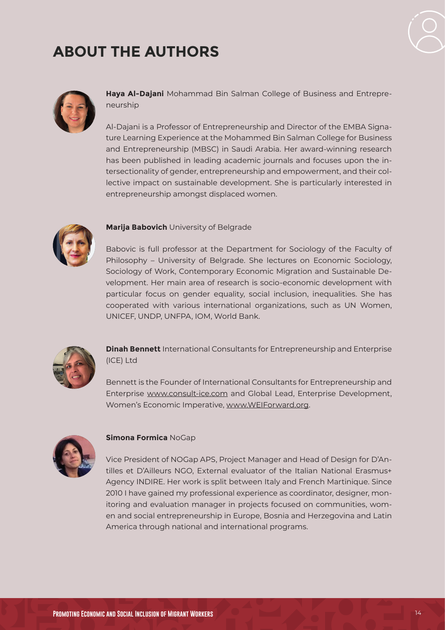# **ABOUT THE AUTHORS**





**Haya Al-Dajani** Mohammad Bin Salman College of Business and Entrepreneurship

Al-Dajani is a Professor of Entrepreneurship and Director of the EMBA Signature Learning Experience at the Mohammed Bin Salman College for Business and Entrepreneurship (MBSC) in Saudi Arabia. Her award-winning research has been published in leading academic journals and focuses upon the intersectionality of gender, entrepreneurship and empowerment, and their collective impact on sustainable development. She is particularly interested in entrepreneurship amongst displaced women.



#### **Marija Babovich** University of Belgrade

Babovic is full professor at the Department for Sociology of the Faculty of Philosophy – University of Belgrade. She lectures on Economic Sociology, Sociology of Work, Contemporary Economic Migration and Sustainable Development. Her main area of research is socio-economic development with particular focus on gender equality, social inclusion, inequalities. She has cooperated with various international organizations, such as UN Women, UNICEF, UNDP, UNFPA, IOM, World Bank.



**Dinah Bennett** International Consultants for Entrepreneurship and Enterprise (ICE) Ltd

Bennett is the Founder of International Consultants for Entrepreneurship and Enterprise [www.consult-ice.com](http://www.consult-ice.com) and Global Lead, Enterprise Development, Women's Economic Imperative, [www.WEIForward.org](http://www.WEIForward.org).



#### **Simona Formica** NoGap

Vice President of NOGap APS, Project Manager and Head of Design for D'Antilles et D'Ailleurs NGO, External evaluator of the Italian National Erasmus+ Agency INDIRE. Her work is split between Italy and French Martinique. Since 2010 I have gained my professional experience as coordinator, designer, monitoring and evaluation manager in projects focused on communities, women and social entrepreneurship in Europe, Bosnia and Herzegovina and Latin America through national and international programs.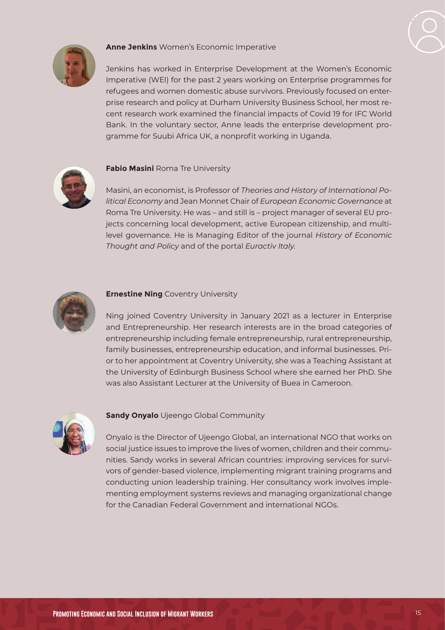

#### **Anne Jenkins** Women's Economic Imperative

Jenkins has worked in Enterprise Development at the Women's Economic Imperative (WEI) for the past 2 years working on Enterprise programmes for refugees and women domestic abuse survivors. Previously focused on enterprise research and policy at Durham University Business School, her most recent research work examined the financial impacts of Covid 19 for IFC World Bank. In the voluntary sector, Anne leads the enterprise development programme for Suubi Africa UK, a nonprofit working in Uganda.



#### **Fabio Masini** Roma Tre University

Masini, an economist, is Professor of *Theories and History of International Political Economy* and Jean Monnet Chair of *European Economic Governance* at Roma Tre University. He was – and still is – project manager of several EU projects concerning local development, active European citizenship, and multilevel governance. He is Managing Editor of the journal *History of Economic Thought and Policy* and of the portal *Euractiv Italy*.



#### **Ernestine Ning Coventry University**

Ning joined Coventry University in January 2021 as a lecturer in Enterprise and Entrepreneurship. Her research interests are in the broad categories of entrepreneurship including female entrepreneurship, rural entrepreneurship, family businesses, entrepreneurship education, and informal businesses. Prior to her appointment at Coventry University, she was a Teaching Assistant at the University of Edinburgh Business School where she earned her PhD. She was also Assistant Lecturer at the University of Buea in Cameroon.



#### **Sandy Onyalo** Ujeengo Global Community

Onyalo is the Director of Ujeengo Global, an international NGO that works on social justice issues to improve the lives of women, children and their communities. Sandy works in several African countries: improving services for survivors of gender-based violence, implementing migrant training programs and conducting union leadership training. Her consultancy work involves implementing employment systems reviews and managing organizational change for the Canadian Federal Government and international NGOs.